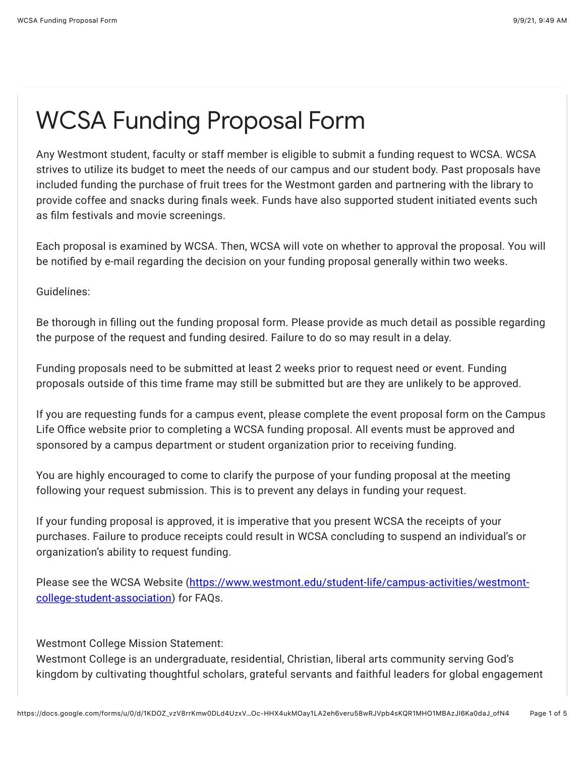## WCSA Funding Proposal Form

Any Westmont student, faculty or staff member is eligible to submit a funding request to WCSA. WCSA strives to utilize its budget to meet the needs of our campus and our student body. Past proposals have included funding the purchase of fruit trees for the Westmont garden and partnering with the library to provide coffee and snacks during finals week. Funds have also supported student initiated events such as film festivals and movie screenings.

Each proposal is examined by WCSA. Then, WCSA will vote on whether to approval the proposal. You will be notified by e-mail regarding the decision on your funding proposal generally within two weeks.

Guidelines:

Be thorough in filling out the funding proposal form. Please provide as much detail as possible regarding the purpose of the request and funding desired. Failure to do so may result in a delay.

Funding proposals need to be submitted at least 2 weeks prior to request need or event. Funding proposals outside of this time frame may still be submitted but are they are unlikely to be approved.

If you are requesting funds for a campus event, please complete the event proposal form on the Campus Life Office website prior to completing a WCSA funding proposal. All events must be approved and sponsored by a campus department or student organization prior to receiving funding.

You are highly encouraged to come to clarify the purpose of your funding proposal at the meeting following your request submission. This is to prevent any delays in funding your request.

If your funding proposal is approved, it is imperative that you present WCSA the receipts of your purchases. Failure to produce receipts could result in WCSA concluding to suspend an individual's or organization's ability to request funding.

[Please see the WCSA Website \(https://www.westmont.edu/student-life/campus-activities/westmont](https://www.google.com/url?q=https://www.westmont.edu/student-life/campus-activities/westmont-college-student-association&sa=D&source=editors&ust=1631209784704000&usg=AFQjCNEv1YrMnMRlvT_AIf6sCztIv1zK1A)college-student-association) for FAQs.

Westmont College Mission Statement:

Westmont College is an undergraduate, residential, Christian, liberal arts community serving God's kingdom by cultivating thoughtful scholars, grateful servants and faithful leaders for global engagement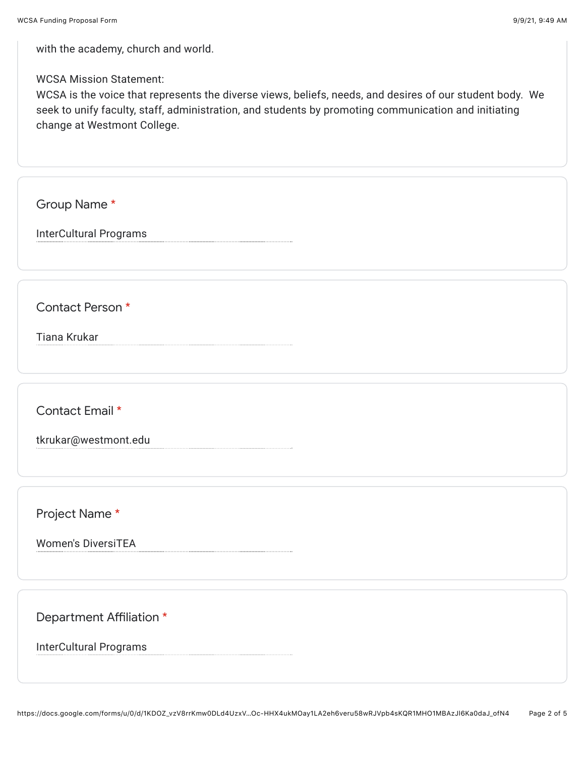with the academy, church and world.

WCSA Mission Statement:

WCSA is the voice that represents the diverse views, beliefs, needs, and desires of our student body. We seek to unify faculty, staff, administration, and students by promoting communication and initiating change at Westmont College.

Group Name \*

InterCultural Programs

Contact Person \*

Tiana Krukar

Contact Email \*

tkrukar@westmont.edu

Project Name \*

Women's DiversiTEA

Department Affiliation \*

InterCultural Programs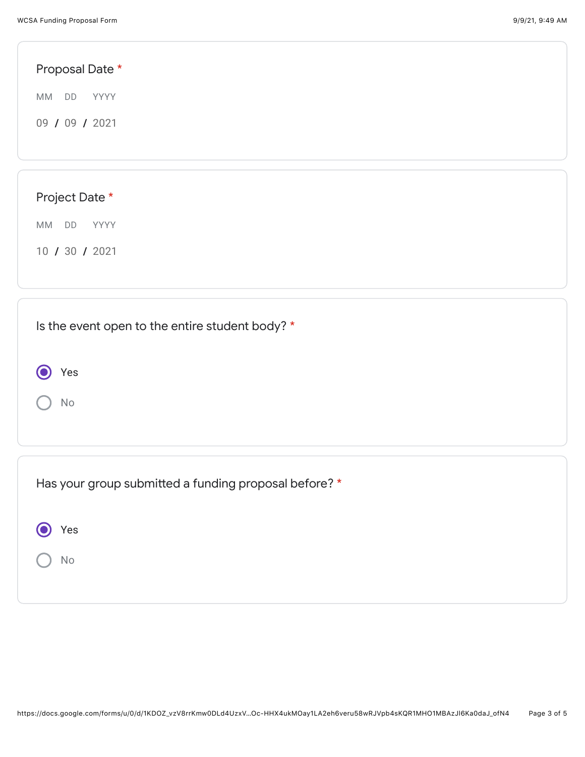● Yes

No

| Proposal Date *                                 |  |  |  |
|-------------------------------------------------|--|--|--|
| <b>MM</b><br>DD<br>YYYY                         |  |  |  |
| 09 / 09 / 2021                                  |  |  |  |
|                                                 |  |  |  |
|                                                 |  |  |  |
| Project Date *                                  |  |  |  |
| DD<br>MM<br>YYYY                                |  |  |  |
| 10 / 30 / 2021                                  |  |  |  |
|                                                 |  |  |  |
|                                                 |  |  |  |
| Is the event open to the entire student body? * |  |  |  |

| Has your group submitted a funding proposal before? * |  |
|-------------------------------------------------------|--|
| Yes                                                   |  |
| No                                                    |  |
|                                                       |  |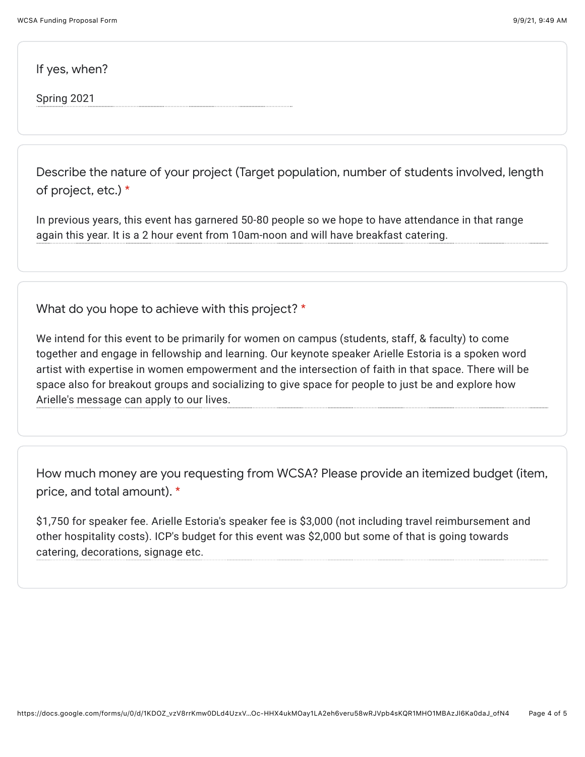If yes, when?

Spring 2021

Describe the nature of your project (Target population, number of students involved, length of project, etc.) \*

In previous years, this event has garnered 50-80 people so we hope to have attendance in that range again this year. It is a 2 hour event from 10am-noon and will have breakfast catering.

What do you hope to achieve with this project? \*

We intend for this event to be primarily for women on campus (students, staff, & faculty) to come together and engage in fellowship and learning. Our keynote speaker Arielle Estoria is a spoken word artist with expertise in women empowerment and the intersection of faith in that space. There will be space also for breakout groups and socializing to give space for people to just be and explore how Arielle's message can apply to our lives.

How much money are you requesting from WCSA? Please provide an itemized budget (item, price, and total amount). \*

\$1,750 for speaker fee. Arielle Estoria's speaker fee is \$3,000 (not including travel reimbursement and other hospitality costs). ICP's budget for this event was \$2,000 but some of that is going towards catering, decorations, signage etc.